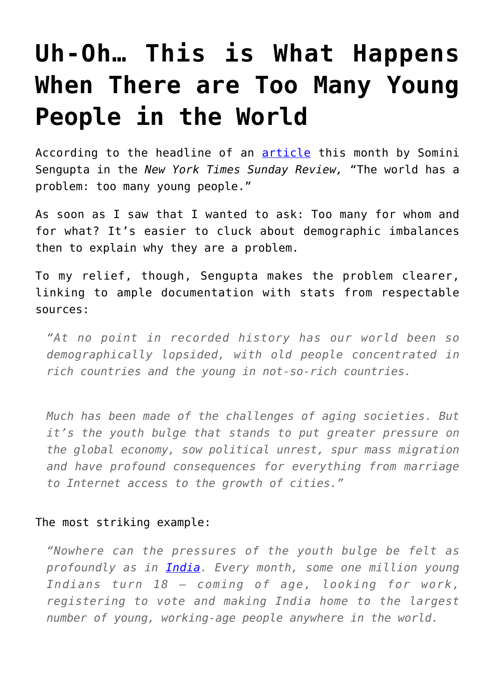## **[Uh-Oh… This is What Happens](https://intellectualtakeout.org/2016/03/uh-oh-this-is-what-happens-when-there-are-too-many-young-people-in-the-world/) [When There are Too Many Young](https://intellectualtakeout.org/2016/03/uh-oh-this-is-what-happens-when-there-are-too-many-young-people-in-the-world/) [People in the World](https://intellectualtakeout.org/2016/03/uh-oh-this-is-what-happens-when-there-are-too-many-young-people-in-the-world/)**

According to the headline of an **[article](http://www.nytimes.com/2016/03/06/sunday-review/the-world-has-a-problem-too-many-young-people.html)** this month by Somini Sengupta in the *New York Times Sunday Review,* "The world has a problem: too many young people."

As soon as I saw that I wanted to ask: Too many for whom and for what? It's easier to cluck about demographic imbalances then to explain why they are a problem.

To my relief, though, Sengupta makes the problem clearer, linking to ample documentation with stats from respectable sources:

*"At no point in recorded history has our world been so demographically lopsided, with old people concentrated in rich countries and the young in not-so-rich countries.*

*Much has been made of the challenges of aging societies. But it's the youth bulge that stands to put greater pressure on the global economy, sow political unrest, spur mass migration and have profound consequences for everything from marriage to Internet access to the growth of cities."*

## The most striking example:

*"Nowhere can the pressures of the youth bulge be felt as profoundly as in [India](http://topics.nytimes.com/top/news/international/countriesandterritories/india/index.html?inline=nyt-geo). Every month, some one million young Indians turn 18 — coming of age, looking for work, registering to vote and making India home to the largest number of young, working-age people anywhere in the world.*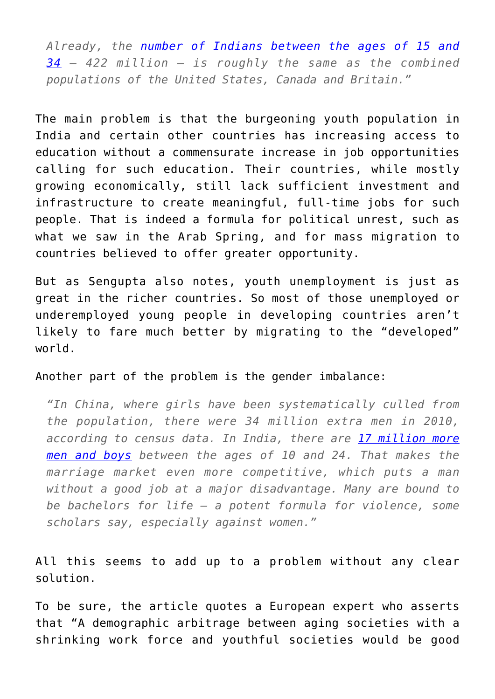*Already, the [number of Indians between the ages of 15 and](http://data.un.org/Data.aspx?d=POP&f=tableCode%3A22) [34](http://data.un.org/Data.aspx?d=POP&f=tableCode%3A22) — 422 million — is roughly the same as the combined populations of the United States, Canada and Britain."*

The main problem is that the burgeoning youth population in India and certain other countries has increasing access to education without a commensurate increase in job opportunities calling for such education. Their countries, while mostly growing economically, still lack sufficient investment and infrastructure to create meaningful, full-time jobs for such people. That is indeed a formula for political unrest, such as what we saw in the Arab Spring, and for mass migration to countries believed to offer greater opportunity.

But as Sengupta also notes, youth unemployment is just as great in the richer countries. So most of those unemployed or underemployed young people in developing countries aren't likely to fare much better by migrating to the "developed" world.

Another part of the problem is the gender imbalance:

*"In China, where girls have been systematically culled from the population, there were 34 million extra men in 2010, according to census data. In India, there are [17 million more](http://www.ncbi.nlm.nih.gov/pmc/articles/PMC4216492/) [men and boys](http://www.ncbi.nlm.nih.gov/pmc/articles/PMC4216492/) between the ages of 10 and 24. That makes the marriage market even more competitive, which puts a man without a good job at a major disadvantage. Many are bound to be bachelors for life — a potent formula for violence, some scholars say, especially against women."*

All this seems to add up to a problem without any clear solution.

To be sure, the article quotes a European expert who asserts that "A demographic arbitrage between aging societies with a shrinking work force and youthful societies would be good